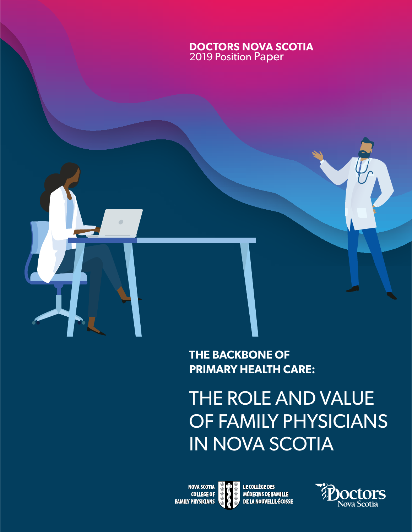



# THE ROLE AND VALUE OF FAMILY PHYSICIANS IN NOVA SCOTIA

**NOVA SCOTIA<br>COLLEGE OF 1** Doctors Nova Scotia & Nova Scotia College of Family Physicians | **2019 THE BACKBONE OF PRIMARY HEALTH CARE** 

LE COLLÈGE DES<br>MÉDECINS DE FAMILLE

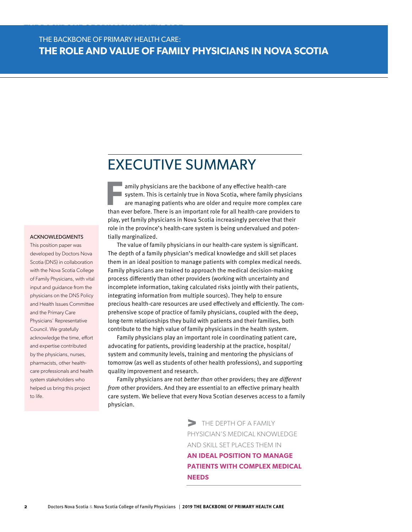**THE BACKBONE OF PRIMARY HEALTH CARE:**

### EXECUTIVE SUMMARY

**F** amily physicians are the backbone of any effective health-care system. This is certainly true in Nova Scotia, where family physicians are managing patients who are older and require more complex care then such before. system. This is certainly true in Nova Scotia, where family physicians than ever before. There is an important role for all health-care providers to play, yet family physicians in Nova Scotia increasingly perceive that their role in the province's health-care system is being undervalued and potentially marginalized.

#### ACKNOWLEDGMENTS

This position paper was developed by Doctors Nova Scotia (DNS) in collaboration with the Nova Scotia College of Family Physicians, with vital input and guidance from the physicians on the DNS Policy and Health Issues Committee and the Primary Care Physicians' Representative Council. We gratefully acknowledge the time, effort and expertise contributed by the physicians, nurses, pharmacists, other healthcare professionals and health system stakeholders who helped us bring this project to life.

The value of family physicians in our health-care system is significant. The depth of a family physician's medical knowledge and skill set places them in an ideal position to manage patients with complex medical needs. Family physicians are trained to approach the medical decision-making process differently than other providers (working with uncertainty and incomplete information, taking calculated risks jointly with their patients, integrating information from multiple sources). They help to ensure precious health-care resources are used effectively and efficiently. The comprehensive scope of practice of family physicians, coupled with the deep, long-term relationships they build with patients and their families, both contribute to the high value of family physicians in the health system.

Family physicians play an important role in coordinating patient care, advocating for patients, providing leadership at the practice, hospital/ system and community levels, training and mentoring the physicians of tomorrow (as well as students of other health professions), and supporting quality improvement and research.

Family physicians are not better than other providers; they are different from other providers. And they are essential to an effective primary health care system. We believe that every Nova Scotian deserves access to a family physician.

> THE DEPTH OF A FAMILY PHYSICIAN'S MEDICAL KNOWLEDGE AND SKILL SET PLACES THEM IN **AN IDEAL POSITION TO MANAGE PATIENTS WITH COMPLEX MEDICAL NEEDS**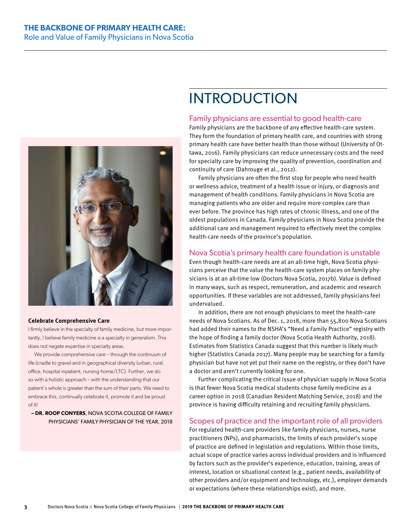

#### **Celebrate Comprehensive Care**

I firmly believe in the specialty of family medicine, but more importantly, I believe family medicine is a specialty in generalism. This does not negate expertise in specialty areas.

We provide comprehensive care – through the continuum of life (cradle to grave) and in geographical diversity (urban, rural, office, hospital inpatient, nursing home/LTC). Further, we do so with a holistic approach – with the understanding that our patient's whole is greater than the sum of their parts. We need to embrace this, continually celebrate it, promote it and be proud of it!

**– DR. ROOP CONYERS**, NOVA SCOTIA COLLEGE OF FAMILY PHYSICIANS' FAMILY PHYSICIAN OF THE YEAR, 2018

# INTRODUCTION

#### Family physicians are essential to good health-care

Family physicians are the backbone of any effective health-care system. They form the foundation of primary health care, and countries with strong primary health care have better health than those without (University of Ottawa, 2016). Family physicians can reduce unnecessary costs and the need for specialty care by improving the quality of prevention, coordination and continuity of care (Dahrouge et al., 2012).

Family physicians are often the first stop for people who need health or wellness advice, treatment of a health issue or injury, or diagnosis and management of health conditions. Family physicians in Nova Scotia are managing patients who are older and require more complex care than ever before. The province has high rates of chronic illness, and one of the oldest populations in Canada. Family physicians in Nova Scotia provide the additional care and management required to effectively meet the complex health-care needs of the province's population.

### Nova Scotia's primary health care foundation is unstable

Even though health-care needs are at an all-time high, Nova Scotia physicians perceive that the value the health-care system places on family physicians is at an all-time low (Doctors Nova Scotia, 2017b). Value is defined in many ways, such as respect, remuneration, and academic and research opportunities. If these variables are not addressed, family physicians feel undervalued.

In addition, there are not enough physicians to meet the health-care needs of Nova Scotians. As of Dec. 1, 2018, more than 55,800 Nova Scotians had added their names to the NSHA's "Need a Family Practice" registry with the hope of finding a family doctor (Nova Scotia Health Authority, 2018). Estimates from Statistics Canada suggest that this number is likely much higher (Statistics Canada 2017). Many people may be searching for a family physician but have not yet put their name on the registry, or they don't have a doctor and aren't currently looking for one.

Further complicating the critical issue of physician supply in Nova Scotia is that fewer Nova Scotia medical students chose family medicine as a career option in 2018 (Canadian Resident Matching Service, 2018) and the province is having difficulty retaining and recruiting family physicians.

#### Scopes of practice and the important role of all providers

For regulated health-care providers like family physicians, nurses, nurse practitioners (NPs), and pharmacists, the limits of each provider's scope of practice are defined in legislation and regulations. Within those limits, actual scope of practice varies across individual providers and is influenced by factors such as the provider's experience, education, training, areas of interest, location or situational context (e.g., patient needs, availability of other providers and/or equipment and technology, etc.), employer demands or expectations (where these relationships exist), and more.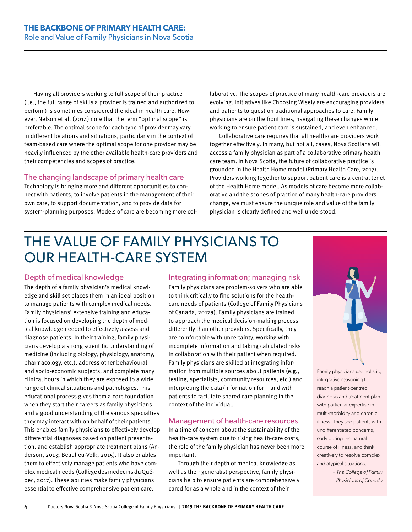Having all providers working to full scope of their practice (i.e., the full range of skills a provider is trained and authorized to perform) is sometimes considered the ideal in health care. However, Nelson et al. (2014) note that the term "optimal scope" is preferable. The optimal scope for each type of provider may vary in different locations and situations, particularly in the context of team-based care where the optimal scope for one provider may be heavily influenced by the other available health-care providers and their competencies and scopes of practice.

### The changing landscape of primary health care

Technology is bringing more and different opportunities to connect with patients, to involve patients in the management of their own care, to support documentation, and to provide data for system-planning purposes. Models of care are becoming more col-

laborative. The scopes of practice of many health-care providers are evolving. Initiatives like Choosing Wisely are encouraging providers and patients to question traditional approaches to care. Family physicians are on the front lines, navigating these changes while working to ensure patient care is sustained, and even enhanced.

Collaborative care requires that all health-care providers work together effectively. In many, but not all, cases, Nova Scotians will access a family physician as part of a collaborative primary health care team. In Nova Scotia, the future of collaborative practice is grounded in the Health Home model (Primary Health Care, 2017). Providers working together to support patient care is a central tenet of the Health Home model. As models of care become more collaborative and the scopes of practice of many health-care providers change, we must ensure the unique role and value of the family physician is clearly defined and well understood.

# THE VALUE OF FAMILY PHYSICIANS TO OUR HEALTH-CARE SYSTEM

### Depth of medical knowledge

The depth of a family physician's medical knowledge and skill set places them in an ideal position to manage patients with complex medical needs. Family physicians' extensive training and education is focused on developing the depth of medical knowledge needed to effectively assess and diagnose patients. In their training, family physicians develop a strong scientific understanding of medicine (including biology, physiology, anatomy, pharmacology, etc.), address other behavioural and socio-economic subjects, and complete many clinical hours in which they are exposed to a wide range of clinical situations and pathologies. This educational process gives them a core foundation when they start their careers as family physicians and a good understanding of the various specialties they may interact with on behalf of their patients. This enables family physicians to effectively develop differential diagnoses based on patient presentation, and establish appropriate treatment plans (Anderson, 2013; Beaulieu-Volk, 2015). It also enables them to effectively manage patients who have complex medical needs (CollègedesmédecinsduQuébec, 2017). These abilities make family physicians essential to effective comprehensive patient care.

### Integrating information; managing risk

Family physicians are problem-solvers who are able to think critically to find solutions for the healthcare needs of patients (College of Family Physicians of Canada, 2017a). Family physicians are trained to approach the medical decision-making process differently than other providers. Specifically, they are comfortable with uncertainty, working with incomplete information and taking calculated risks in collaboration with their patient when required. Family physicians are skilled at integrating information from multiple sources about patients (e.g., testing, specialists, community resources, etc.) and interpreting the data/information for  $-$  and with  $$ patients to facilitate shared care planning in the context of the individual.

### Management of health-care resources

In a time of concern about the sustainability of the health-care system due to rising health-care costs, the role of the family physician has never been more important.

Through their depth of medical knowledge as well as their generalist perspective, family physicians help to ensure patients are comprehensively cared for as a whole and in the context of their



Family physicians use holistic, integrative reasoning to reach a patient-centred diagnosis and treatment plan with particular expertise in multi-morbidity and chronic illness. They see patients with undifferentiated concerns, early during the natural course of illness, and think creatively to resolve complex and atypical situations.

> *– The College of Family Physicians of Canada*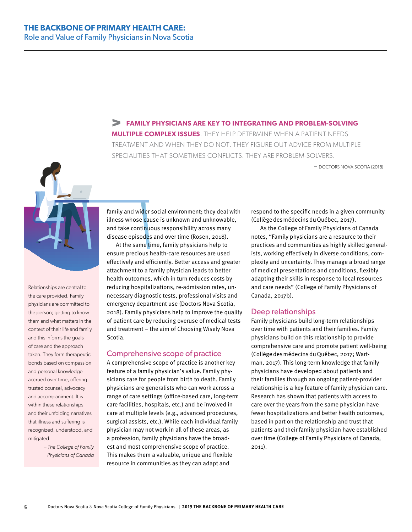#### **FAMILY PHYSICIANS ARE KEY TO INTEGRATING AND PROBLEM-SOLVING**

**MULTIPLE COMPLEX ISSUES**. THEY HELP DETERMINE WHEN A PATIENT NEEDS TREATMENT AND WHEN THEY DO NOT. THEY FIGURE OUT ADVICE FROM MULTIPLE SPECIALITIES THAT SOMETIMES CONFLICTS. THEY ARE PROBLEM-SOLVERS.

– DOCTORS NOVA SCOTIA (2018)



Relationships are central to the care provided. Family physicians are committed to the person; getting to know them and what matters in the context of their life and family and this informs the goals of care and the approach taken. They form therapeutic bonds based on compassion and personal knowledge accrued over time, offering trusted counsel, advocacy and accompaniment. It is within these relationships and their unfolding narratives that illness and suffering is recognized, understood, and mitigated.

> *– The College of Family Physicians of Canada*

family and wider social environment; they deal with illness whose cause is unknown and unknowable, and take continuous responsibility across many disease episodes and over time (Rosen, 2018).

At the same time, family physicians help to ensure precious health-care resources are used effectively and efficiently. Better access and greater attachment to a family physician leads to better health outcomes, which in turn reduces costs by reducing hospitalizations, re-admission rates, unnecessary diagnostic tests, professional visits and emergency department use (Doctors Nova Scotia, 2018). Family physicians help to improve the quality of patient care by reducing overuse of medical tests and treatment – the aim of Choosing Wisely Nova Scotia.

#### Comprehensive scope of practice

A comprehensive scope of practice is another key feature of a family physician's value. Family physicians care for people from birth to death. Family physicians are generalists who can work across a range of care settings (office-based care, long-term care facilities, hospitals, etc.) and be involved in care at multiple levels (e.g., advanced procedures, surgical assists, etc.). While each individual family physician may not work in all of these areas, as a profession, family physicians have the broadest and most comprehensive scope of practice. This makes them a valuable, unique and flexible resource in communities as they can adapt and

respond to the specific needs in a given community (CollègedesmédecinsduQuébec, 2017).

As the College of Family Physicians of Canada notes, "Family physicians are a resource to their practices and communities as highly skilled generalists, working effectively in diverse conditions, complexity and uncertainty. They manage a broad range of medical presentations and conditions, flexibly adapting their skills in response to local resources and care needs" (College of Family Physicians of Canada, 2017b).

#### Deep relationships

Family physicians build long-term relationships over time with patients and their families. Family physicians build on this relationship to provide comprehensive care and promote patient well-being (CollègedesmédecinsduQuébec, 2017; Wartman, 2017). This long-term knowledge that family physicians have developed about patients and their families through an ongoing patient-provider relationship is a key feature of family physician care. Research has shown that patients with access to care over the years from the same physician have fewer hospitalizations and better health outcomes, based in part on the relationship and trust that patients and their family physician have established over time (College of Family Physicians of Canada, 2011).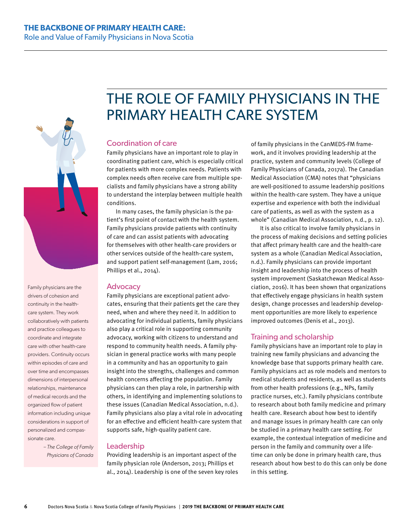

Family physicians are the drivers of cohesion and continuity in the healthcare system. They work collaboratively with patients and practice colleagues to coordinate and integrate care with other health-care providers. Continuity occurs within episodes of care and over time and encompasses dimensions of interpersonal relationships, maintenance of medical records and the organized flow of patient information including unique considerations in support of personalized and compassionate care.

> *– The College of Family Physicians of Canada*

# THE ROLE OF FAMILY PHYSICIANS IN THE PRIMARY HEALTH CARE SYSTEM

### Coordination of care

Family physicians have an important role to play in coordinating patient care, which is especially critical for patients with more complex needs. Patients with complex needs often receive care from multiple specialists and family physicians have a strong ability to understand the interplay between multiple health conditions.

In many cases, the family physician is the patient's first point of contact with the health system. Family physicians provide patients with continuity of care and can assist patients with advocating for themselves with other health-care providers or other services outside of the health-care system, and support patient self-management (Lam, 2016; Phillips et al., 2014).

#### **Advocacy**

Family physicians are exceptional patient advocates, ensuring that their patients get the care they need, when and where they need it. In addition to advocating for individual patients, family physicians also play a critical role in supporting community advocacy, working with citizens to understand and respond to community health needs. A family physician in general practice works with many people in a community and has an opportunity to gain insight into the strengths, challenges and common health concerns affecting the population. Family physicians can then play a role, in partnership with others, in identifying and implementing solutions to these issues (Canadian Medical Association, n.d.). Family physicians also play a vital role in advocating for an effective and efficient health-care system that supports safe, high-quality patient care.

#### Leadership

Providing leadership is an important aspect of the family physician role (Anderson, 2013; Phillips et al., 2014). Leadership is one of the seven key roles

of family physicians in the CanMEDS-FM framework, and it involves providing leadership at the practice, system and community levels (College of Family Physicians of Canada, 2017a). The Canadian Medical Association (CMA) notes that "physicians are well-positioned to assume leadership positions within the health-care system. They have a unique expertise and experience with both the individual care of patients, as well as with the system as a whole" (Canadian Medical Association, n.d., p. 12).

It is also critical to involve family physicians in the process of making decisions and setting policies that affect primary health care and the health-care system as a whole (Canadian Medical Association, n.d.). Family physicians can provide important insight and leadership into the process of health system improvement (Saskatchewan Medical Association, 2016). It has been shown that organizations that effectively engage physicians in health system design, change processes and leadership development opportunities are more likely to experience improved outcomes (Denis et al., 2013).

#### Training and scholarship

Family physicians have an important role to play in training new family physicians and advancing the knowledge base that supports primary health care. Family physicians act as role models and mentors to medical students and residents, as well as students from other health professions (e.g., NPs, family practice nurses, etc.). Family physicians contribute to research about both family medicine and primary health care. Research about how best to identify and manage issues in primary health care can only be studied in a primary health care setting. For example, the contextual integration of medicine and person in the family and community over a lifetime can only be done in primary health care, thus research about how best to do this can only be done in this setting.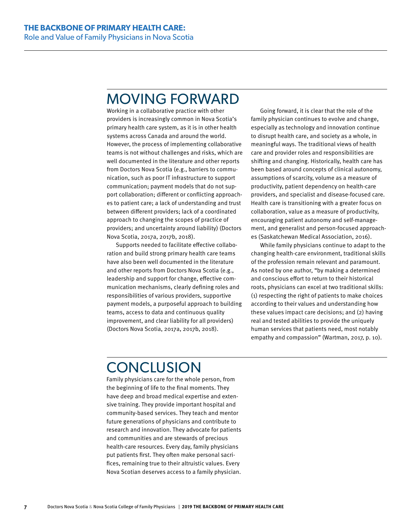# MOVING FORWARD

Working in a collaborative practice with other providers is increasingly common in Nova Scotia's primary health care system, as it is in other health systems across Canada and around the world. However, the process of implementing collaborative teams is not without challenges and risks, which are well documented in the literature and other reports from Doctors Nova Scotia (e.g., barriers to communication, such as poor IT infrastructure to support communication; payment models that do not support collaboration; different or conflicting approaches to patient care; a lack of understanding and trust between different providers; lack of a coordinated approach to changing the scopes of practice of providers; and uncertainty around liability) (Doctors Nova Scotia, 2017a, 2017b, 2018).

Supports needed to facilitate effective collaboration and build strong primary health care teams have also been well documented in the literature and other reports from Doctors Nova Scotia (e.g., leadership and support for change, effective communication mechanisms, clearly defining roles and responsibilities of various providers, supportive payment models, a purposeful approach to building teams, access to data and continuous quality improvement, and clear liability for all providers) (Doctors Nova Scotia, 2017a, 2017b, 2018).

Going forward, it is clear that the role of the family physician continues to evolve and change, especially as technology and innovation continue to disrupt health care, and society as a whole, in meaningful ways. The traditional views of health care and provider roles and responsibilities are shifting and changing. Historically, health care has been based around concepts of clinical autonomy, assumptions of scarcity, volume as a measure of productivity, patient dependency on health-care providers, and specialist and disease-focused care. Health care is transitioning with a greater focus on collaboration, value as a measure of productivity, encouraging patient autonomy and self-management, and generalist and person-focused approaches (Saskatchewan Medical Association, 2016).

While family physicians continue to adapt to the changing health-care environment, traditional skills of the profession remain relevant and paramount. As noted by one author, "by making a determined and conscious effort to return to their historical roots, physicians can excel at two traditional skills: (1) respecting the right of patients to make choices according to their values and understanding how these values impact care decisions; and (2) having real and tested abilities to provide the uniquely human services that patients need, most notably empathy and compassion" (Wartman, 2017, p. 10).

# **CONCLUSION**

Family physicians care for the whole person, from the beginning of life to the final moments. They have deep and broad medical expertise and extensive training. They provide important hospital and community-based services. They teach and mentor future generations of physicians and contribute to research and innovation. They advocate for patients and communities and are stewards of precious health-care resources. Every day, family physicians put patients first. They often make personal sacrifices, remaining true to their altruistic values. Every Nova Scotian deserves access to a family physician.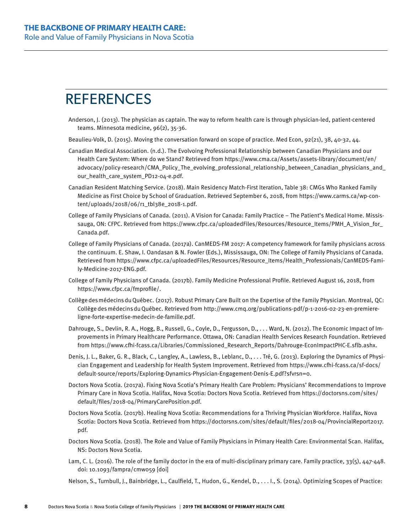# **REFERENCES**

- Anderson, J. (2013). The physician as captain. The way to reform health care is through physician-led, patient-centered teams. Minnesota medicine, 96(2), 35-36.
- Beaulieu-Volk, D. (2015). Moving the conversation forward on scope of practice. Med Econ, 92(21), 38, 40-32, 44.
- Canadian Medical Association. (n.d.). The Evolvoing Professional Relationship between Canadian Physicians and our Health Care System: Where do we Stand? Retrieved from https://[www.cma.ca/Assets/assets-library/document/en/](http://www.cma.ca/Assets/assets-library/document/en/advocacy/policy-research/CMA_Policy_The_evolving_professional_relationship_between_Canadian_physicians_and_our_health_care_system_PD12-04-e.pdf) [advocacy/policy-research/CMA\\_Policy\\_The\\_evolving\\_professional\\_relationship\\_between\\_Canadian\\_physicians\\_and\\_](http://www.cma.ca/Assets/assets-library/document/en/advocacy/policy-research/CMA_Policy_The_evolving_professional_relationship_between_Canadian_physicians_and_our_health_care_system_PD12-04-e.pdf) [our\\_health\\_care\\_system\\_PD12-04-e.pdf](http://www.cma.ca/Assets/assets-library/document/en/advocacy/policy-research/CMA_Policy_The_evolving_professional_relationship_between_Canadian_physicians_and_our_health_care_system_PD12-04-e.pdf).
- Canadian Resident Matching Service. (2018). Main Residency Match-First Iteration, Table 38: CMGs Who Ranked Family Medicine as First Choice by School of Graduation. Retrieved September 6, 2018, from https:/[/www.carms.ca/wp-con](http://www.carms.ca/wp-content/uploads/2018/06/r1_tbl38e_2018-1.pdf)[tent/uploads/2018/06/r1\\_tbl38e\\_2018-1.pdf.](http://www.carms.ca/wp-content/uploads/2018/06/r1_tbl38e_2018-1.pdf)
- College of Family Physicians of Canada. (2011). A Vision for Canada: Family Practice The Patient's Medical Home. Mississauga, ON: CFPC. Retrieved from https://[www.cfpc.ca/uploadedFiles/Resources/Resource\\_Items/PMH\\_A\\_Vision\\_for\\_](http://www.cfpc.ca/uploadedFiles/Resources/Resource_Items/PMH_A_Vision_for_Canada.pdf) [Canada.pdf.](http://www.cfpc.ca/uploadedFiles/Resources/Resource_Items/PMH_A_Vision_for_Canada.pdf)
- College of Family Physicians of Canada. (2017a). CanMEDS-FM 2017: A competency framework for family physicians across the continuum. E. Shaw, I. Oandasan & N. Fowler (Eds.), Mississauga, ON: The College of Family Physicians of Canada. Retrieved from https:/[/www.cfpc.ca/uploadedFiles/Resources/Resource\\_Items/Health\\_Professionals/CanMEDS-Fami](http://www.cfpc.ca/uploadedFiles/Resources/Resource_Items/Health_Professionals/CanMEDS-Family-Medicine-2017-ENG.pdf)[ly-Medicine-2017-ENG.pdf](http://www.cfpc.ca/uploadedFiles/Resources/Resource_Items/Health_Professionals/CanMEDS-Family-Medicine-2017-ENG.pdf).
- College of Family Physicians of Canada. (2017b). Family Medicine Professional Profile. Retrieved August 16, 2018, from https://[www.cfpc.ca/fmprofile/.](http://www.cfpc.ca/fmprofile/)
- CollègedesmédecinsduQuébec. (2017). Robust Primary Care Built on the Expertise of the Family Physician. Montreal, QC: CollègedesmédecinsduQuébec. Retrieved from [http://www.cmq.org/publications-pdf/p-1-2016-02-23-en-premiere](http://www.cmq.org/publications-pdf/p-1-2016-02-23-en-premiere-ligne-forte-expertise-medecin-de-famille.pdf)[ligne-forte-expertise-medecin-de-famille.pdf](http://www.cmq.org/publications-pdf/p-1-2016-02-23-en-premiere-ligne-forte-expertise-medecin-de-famille.pdf).
- Dahrouge, S., Devlin, R. A., Hogg, B., Russell, G., Coyle, D., Fergusson, D., . . . Ward, N. (2012). The Economic Impact of Improvements in Primary Healthcare Performance. Ottawa, ON: Canadian Health Services Research Foundation. Retrieved from https://[www.cfhi-fcass.ca/Libraries/Commissioned\\_Research\\_Reports/Dahrouge-EconImpactPHC-E.sflb.ashx](http://www.cfhi-fcass.ca/Libraries/Commissioned_Research_Reports/Dahrouge-EconImpactPHC-E.sflb.ashx).
- Denis, J. L., Baker, G. R., Black, C., Langley, A., Lawless, B., Leblanc, D., . . . Tré, G. (2013). Exploring the Dynamics of Physician Engagement and Leadership for Health System Improvement. Retrieved from https:/[/www.cfhi-fcass.ca/sf-docs/](http://www.cfhi-fcass.ca/sf-docs/default-source/reports/Exploring-Dynamics-Physician-Engagement-Denis-E.pdf?sfvrsn=0) [default-source/reports/Exploring-Dynamics-Physician-Engagement-Denis-E.pdf?sfvrsn=0.](http://www.cfhi-fcass.ca/sf-docs/default-source/reports/Exploring-Dynamics-Physician-Engagement-Denis-E.pdf?sfvrsn=0)
- Doctors Nova Scotia. (2017a). Fixing Nova Scotia's Primary Health Care Problem: Physicians' Recommendations to Improve Primary Care in Nova Scotia. Halifax, Nova Scotia: Doctors Nova Scotia. Retrieved from https://doctorsns.com/sites/ default/files/2018-04/PrimaryCarePosition.pdf.
- Doctors Nova Scotia. (2017b). Healing Nova Scotia: Recommendations for a Thriving Physician Workforce. Halifax, Nova Scotia: Doctors Nova Scotia. Retrieved from https://doctorsns.com/sites/default/files/2018-04/ProvincialReport2017. pdf.
- Doctors Nova Scotia. (2018). The Role and Value of Family Physicians in Primary Health Care: Environmental Scan. Halifax, NS: Doctors Nova Scotia.
- Lam, C. L. (2016). The role of the family doctor in the era of multi-disciplinary primary care. Family practice, 33(5), 447-448. doi: 10.1093/fampra/cmw059 [doi]
- Nelson, S., Turnbull, J., Bainbridge, L., Caulfield, T., Hudon, G., Kendel, D., . . . I., S. (2014). Optimizing Scopes of Practice: